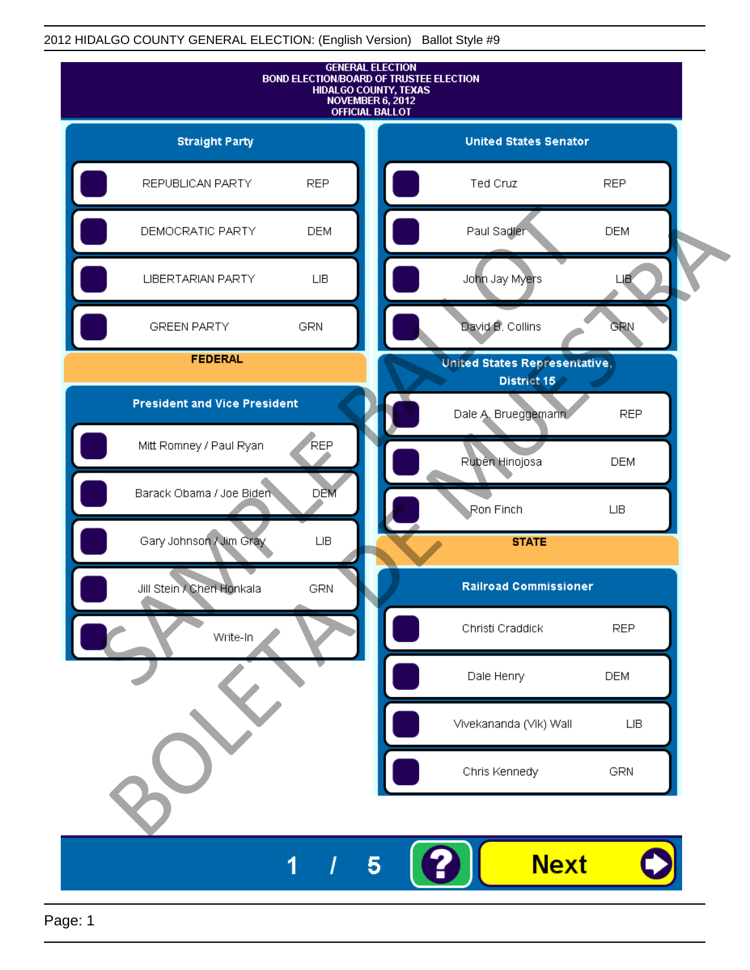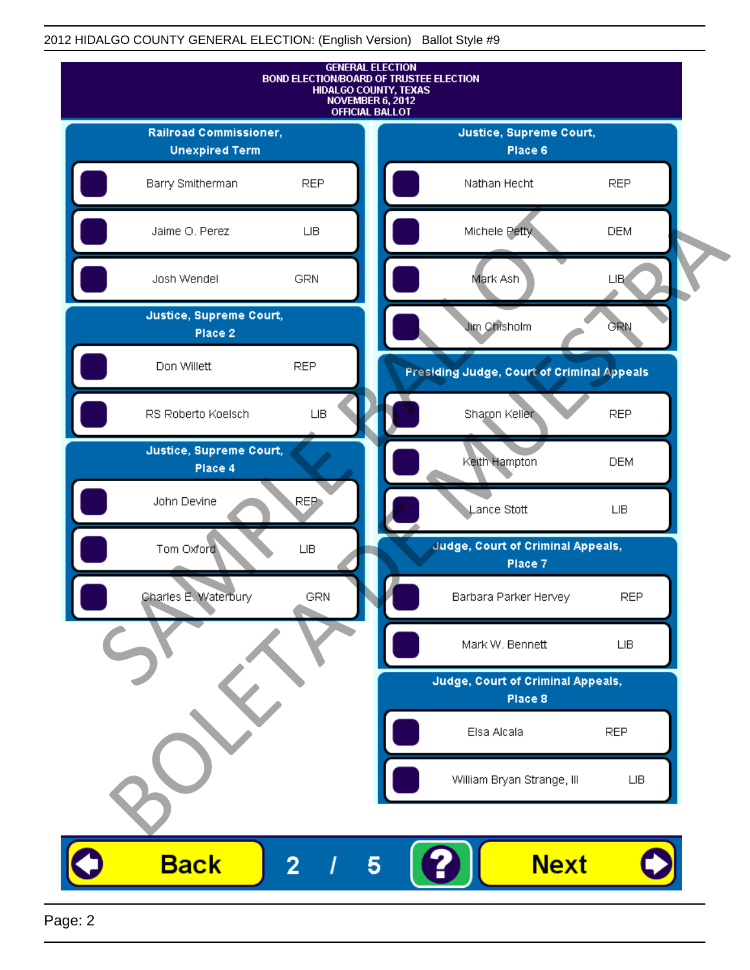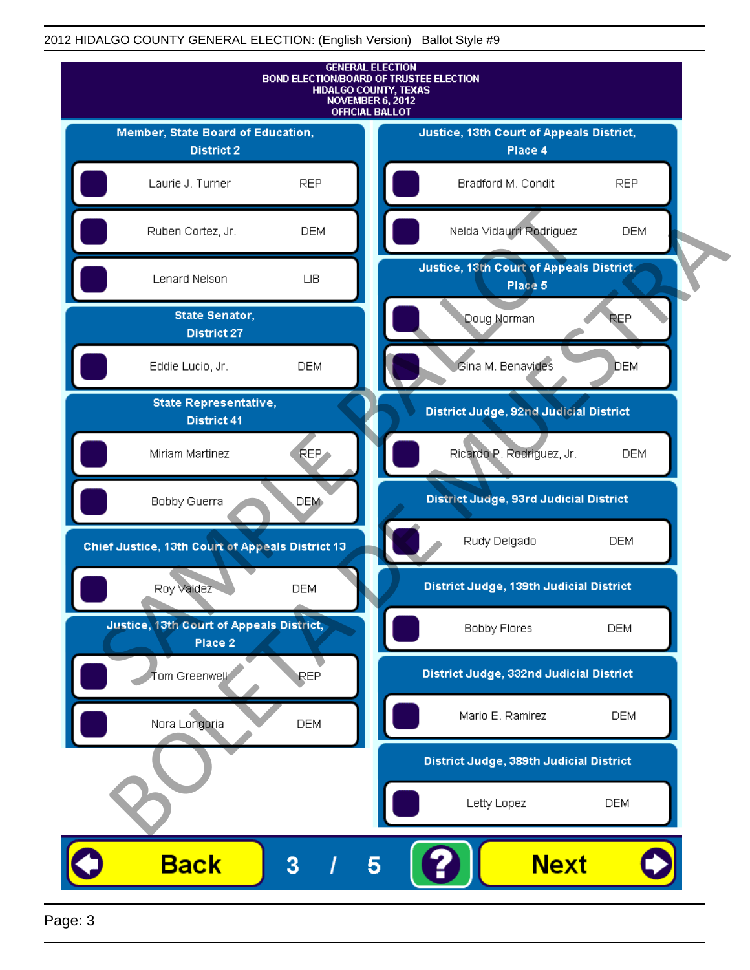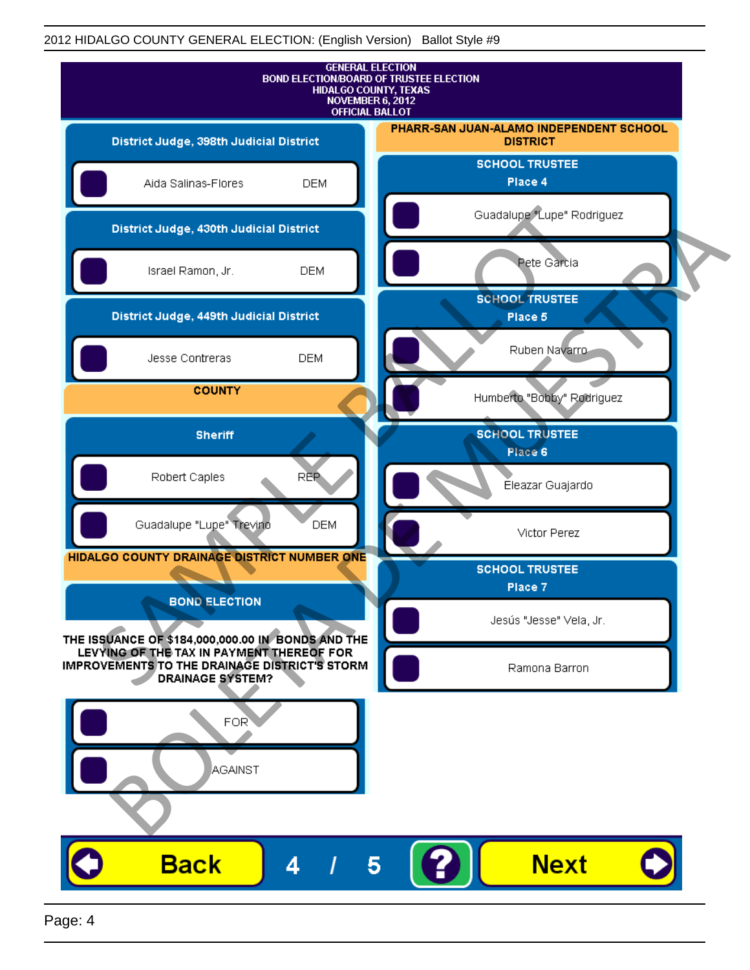

Page: 4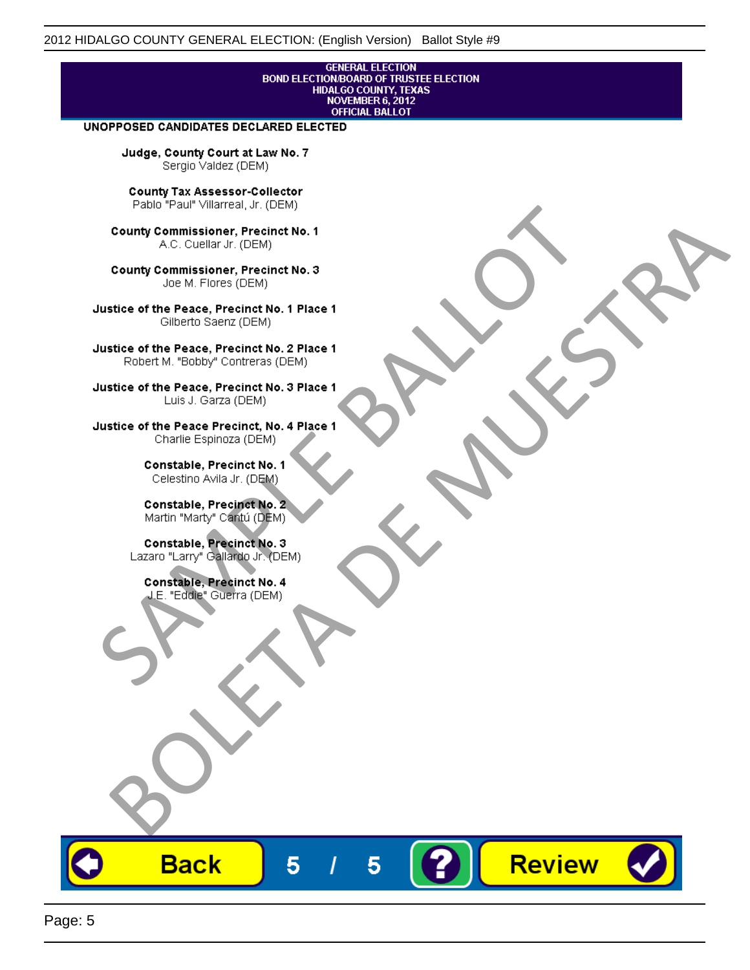# **GENERAL ELECTION** BOND ELECTION BOARD OF TRUSTEE ELECTION<br>HIDALGO COUNTY, TEXAS<br>NOVEMBER 6, 2012<br>OFFICIAL BALLOT

Review

#### UNOPPOSED CANDIDATES DECLARED ELECTED

Judge, County Court at Law No. 7 Sergio Valdez (DEM)

County Tax Assessor-Collector

Fall Paul Visitera, Precinct No. 1<br>
County Commissioner, Precinct No. 1<br>
SAC. Cutellar JF: (DEM)<br>
County Commissioner, Precinct No. 2<br>
Ulattice of the Peace, Precinct No. 2 Place 1<br>
Counter M. "Bobby" Contrers (DEM)<br>
Ulatt County Commissioner, Precinct No. 1<br>
Accounts: A County Commissioner, Precinct No. 3<br>
Use of the Peace, Precinct No. 1<br>
Siste of the Peace, Precinct No. 1<br>
There is a control of the County Commission (DEM)<br>
There is a cont

**Back** 

5

5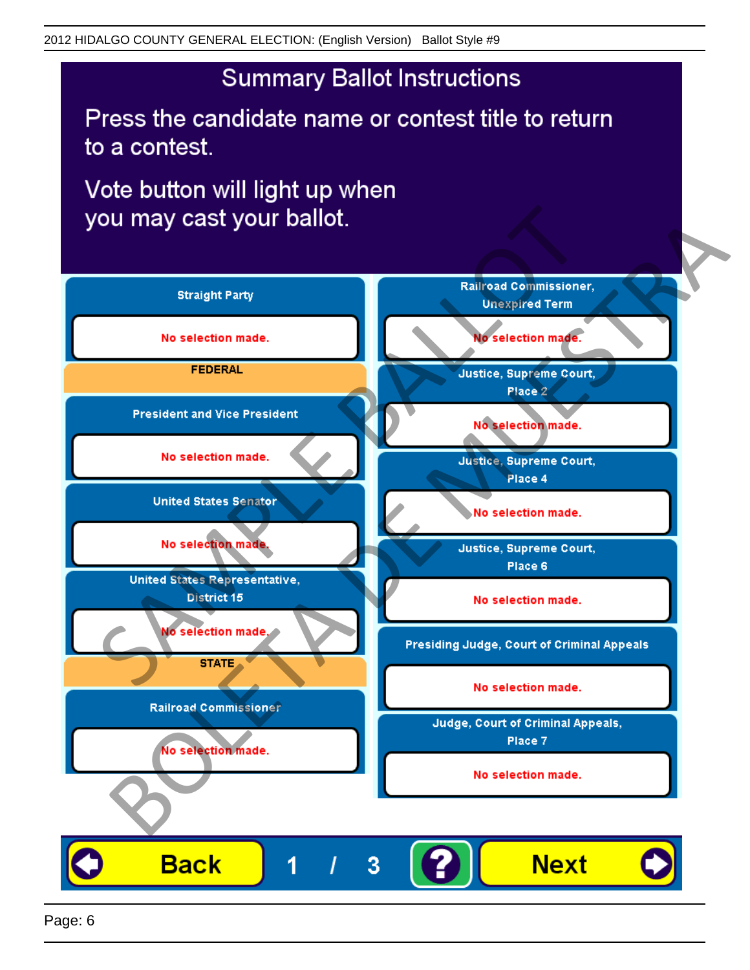## **Summary Ballot Instructions**

Press the candidate name or contest title to return to a contest.

Vote button will light up when

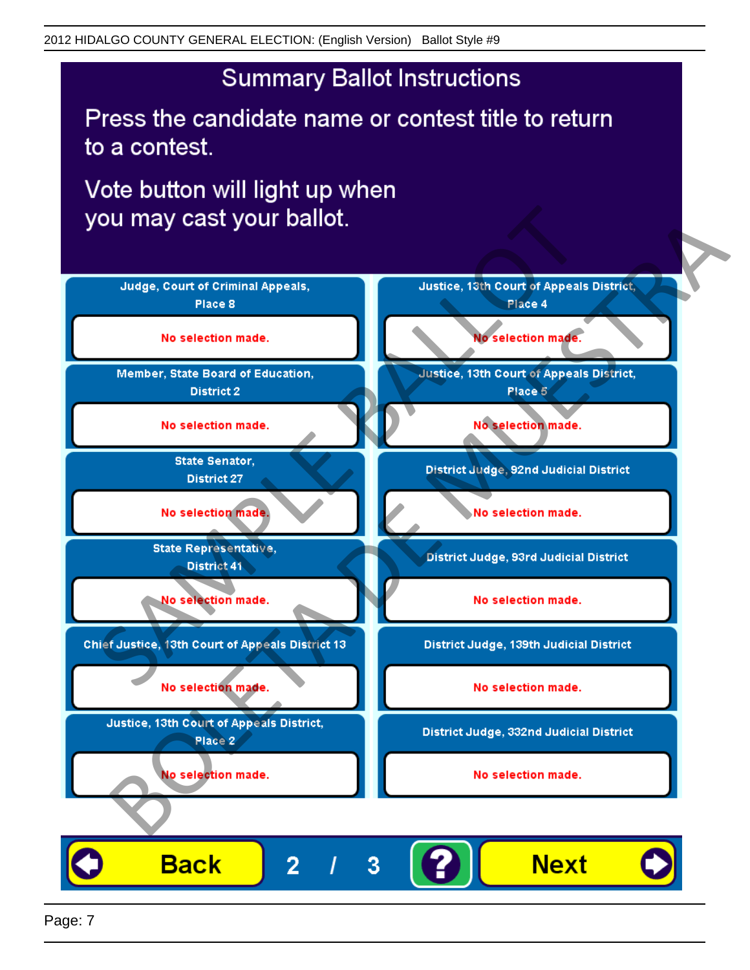## **Summary Ballot Instructions**

Press the candidate name or contest title to return to a contest.

Vote button will light up when



Page: 7